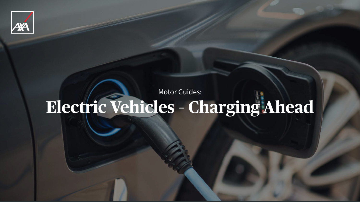Motor Guides:





# **Electric Vehicles – Charging Ahead**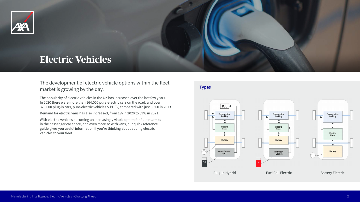The development of electric vehicle options within the fleet market is growing by the day.

The popularity of electric vehicles in the UK has increased over the last few years. In 2020 there were more than 164,000 pure-electric cars on the road, and over 373,600 plug-in cars, pure-electric vehicles & PHEV, compared with just 3,500 in 2013.

Demand for electric vans has also increased, from 1% in 2020 to 69% in 2021.

With electric vehicles becoming an increasingly viable option for fleet markets in the passenger car space, and even more so with vans, our quick reference guide gives you useful information if you're thinking about adding electric vehicles to your fleet.



## **Electric Vehicles**

### **Types**





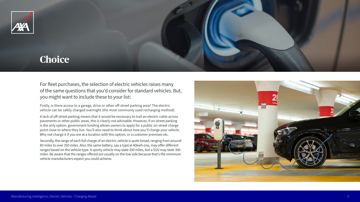For fleet purchases, the selection of electric vehicles raises many of the same questions that you'd consider for standard vehicles. But, you might want to include these to your list:

Firstly, is there access to a garage, drive or other off-street parking area? The electric vehicle can be safely charged overnight (the most commonly used recharging method).

A lack of off-street parking means that it would be necessary to trail an electric cable across pavements or other public areas, this is clearly not advisable. However, if on-street parking is the only option, government funding allows owners to apply for a public on-street charge point close to where they live. You'll also need to think about how you'll charge your vehicle. Why not charge it if you are at a location with this option, or a customer premises etc.

Secondly, the range of each full charge of an electric vehicle is quite broad, ranging from around 80 miles to over 350 miles. Also, the same battery, say a typical 40kwh one, may offer different ranges based on the vehicle type. A sporty vehicle may state 200 miles, but a SUV may state 300 miles. Be aware that the ranges offered are usually on the low side because that's the minimum vehicle manufacturers expect you could achieve.



## **Choice**





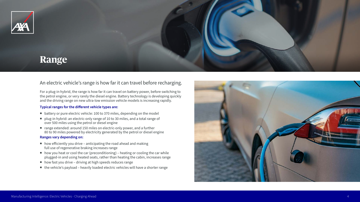## An electric vehicle's range is how far it can travel before recharging.

For a plug-in hybrid, the range is how far it can travel on battery power, before switching to the petrol engine, or very rarely the diesel engine. Battery technology is developing quickly and the driving range on new ultra-low emission vehicle models is increasing rapidly.

#### **Typical ranges for the different vehicle types are:**

- battery or pure electric vehicle: 100 to 370 miles, depending on the model
- plug-in hybrid: an electric-only range of 10 to 30 miles, and a total range of over 500 miles using the petrol or diesel engine
- range extended: around 150 miles on electric-only power, and a further 80 to 90 miles powered by electricity generated by the petrol or diesel engine

#### **Ranges vary depending on:**

- $\blacksquare$  how efficiently you drive anticipating the road ahead and making full use of regenerative braking increases range
- $\blacksquare$  how you heat or cool the car (preconditioning) heating or cooling the car while plugged-in and using heated seats, rather than heating the cabin, increases range
- how fast you drive driving at high speeds reduces range
- the vehicle's payload heavily loaded electric vehicles will have a shorter range



## **Range**





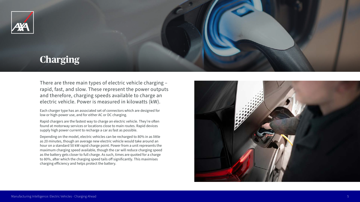There are three main types of electric vehicle charging – rapid, fast, and slow. These represent the power outputs and therefore, charging speeds available to charge an electric vehicle. Power is measured in kilowatts (kW).

Each charger type has an associated set of connectors which are designed for low or high-power use, and for either AC or DC charging.

Rapid chargers are the fastest way to charge an electric vehicle. They're often found at motorway services or locations close to main routes. Rapid devices supply high power current to recharge a car as fast as possible.

Depending on the model, electric vehicles can be recharged to 80% in as little as 20 minutes, though an average new electric vehicle would take around an hour on a standard 50 kW rapid charge point. Power from a unit represents the maximum charging speed available, though the car will reduce charging speed as the battery gets closer to full charge. As such, times are quoted for a charge to 80%, after which the charging speed tails off significantly. This maximises charging efficiency and helps protect the battery.



# **Charging**





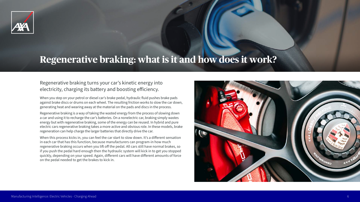## Regenerative braking turns your car's kinetic energy into electricity, charging its battery and boosting efficiency.

When you step on your petrol or diesel car's brake pedal, hydraulic fluid pushes brake pads against brake discs or drums on each wheel. The resulting friction works to slow the car down, generating heat and wearing away at the material on the pads and discs in the process.

Regenerative braking is a way of taking the wasted energy from the process of slowing down a car and using it to recharge the car's batteries. On a nonelectric car, braking simply wastes energy but with regenerative braking, some of the energy can be reused. In hybrid and pure electric cars regenerative braking takes a more active and obvious role. In these models, brake regeneration can help charge the larger batteries that directly drive the car.

When this process kicks in, you can feel the car start to slow down. It's a different sensation in each car that has this function, because manufacturers can program-in how much regenerative braking occurs when you lift off the pedal. All cars still have normal brakes, so if you push the pedal hard enough then the hydraulic system will kick in to get you stopped quickly, depending on your speed. Again, different cars will have different amounts of force on the pedal needed to get the brakes to kick in.



# **Regenerative braking: what is it and how does it work?**





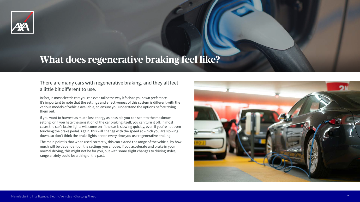There are many cars with regenerative braking, and they all feel a little bit different to use.

In fact, in most electric cars you can even tailor the way it feels to your own preference. It's important to note that the settings and effectiveness of this system is different with the various models of vehicle available, so ensure you understand the options before trying them out.

If you want to harvest as much lost energy as possible you can set it to the maximum setting, or if you hate the sensation of the car braking itself, you can turn it off. In most cases the car's brake lights will come on if the car is slowing quickly, even if you're not even touching the brake pedal. Again, this will change with the speed at which you are slowing down, so don't think the brake lights are on every time you use regenerative braking.

The main point is that when used correctly, this can extend the range of the vehicle, by how much will be dependent on the settings you choose. If you accelerate and brake in your normal driving, this might not be for you, but with some slight changes to driving styles, range anxiety could be a thing of the past.



# **What does regenerative braking feel like?**





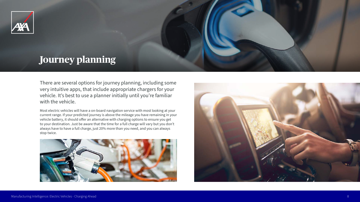

# **Journey planning**

There are several options for journey planning, including some very intuitive apps, that include appropriate chargers for your vehicle. It's best to use a planner initially until you're familiar with the vehicle.

Most electric vehicles will have a on-board navigation service with most looking at your current range. If your predicted journey is above the mileage you have remaining in your vehicle battery, it should offer an alternative with charging options to ensure you get to your destination. Just be aware that the time for a full charge will vary but you don't always have to have a full charge, just 20% more than you need, and you can always stop twice.









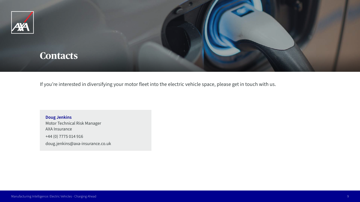If you're interested in diversifying your motor fleet into the electric vehicle space, please get in touch with us.





**Doug Jenkins** Motor Technical Risk Manager AXA Insurance +44 (0) 7775 014 916 doug.jenkins@axa-insurance.co.uk

Manufacturing Intelligence: Electric Vehicles - Charging Ahead 9